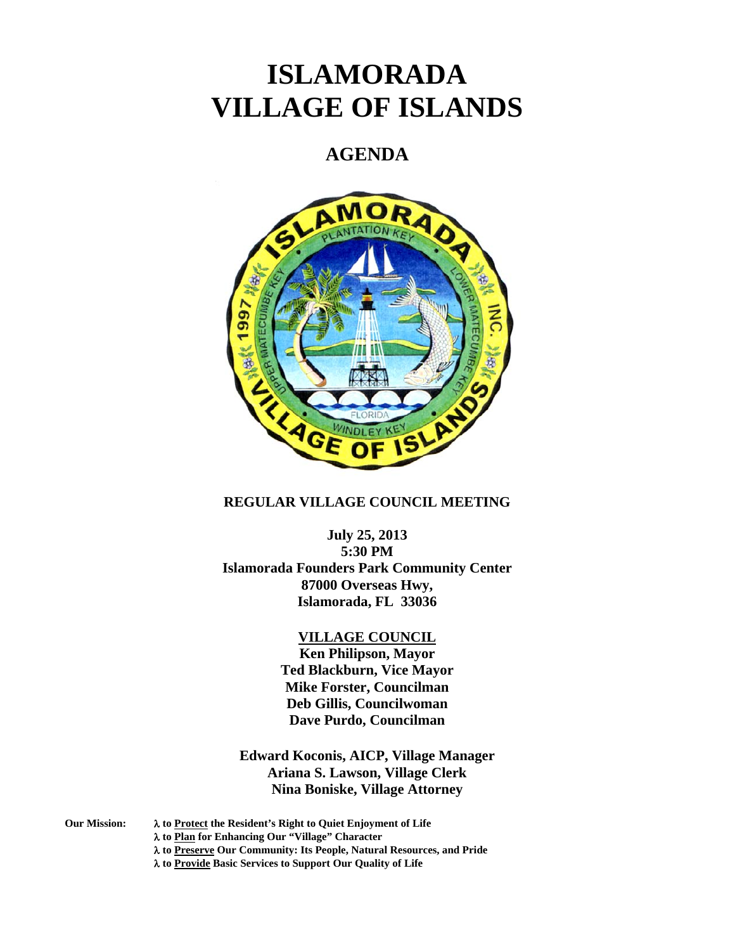# **ISLAMORADA VILLAGE OF ISLANDS**

# **AGENDA**



# **REGULAR VILLAGE COUNCIL MEETING**

**July 25, 2013** 

**5:30 PM Islamorada Founders Park Community Center 87000 Overseas Hwy, Islamorada, FL 33036** 

#### **VILLAGE COUNCIL**

**Ken Philipson, Mayor Ted Blackburn, Vice Mayor Mike Forster, Councilman Deb Gillis, Councilwoman Dave Purdo, Councilman** 

**Edward Koconis, AICP, Village Manager Ariana S. Lawson, Village Clerk Nina Boniske, Village Attorney** 

- **Our Mission: to Protect the Resident's Right to Quiet Enjoyment of Life** 
	- **to Plan for Enhancing Our "Village" Character** 
		- **to Preserve Our Community: Its People, Natural Resources, and Pride**
		- **to Provide Basic Services to Support Our Quality of Life**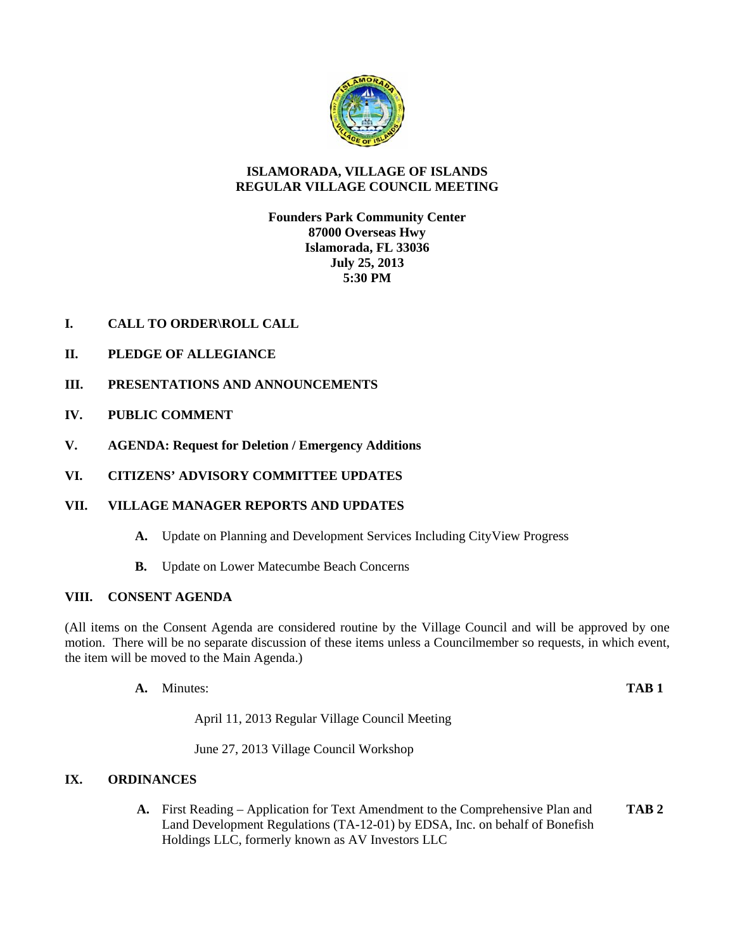

### **ISLAMORADA, VILLAGE OF ISLANDS REGULAR VILLAGE COUNCIL MEETING**

**Founders Park Community Center 87000 Overseas Hwy Islamorada, FL 33036 July 25, 2013 5:30 PM** 

- **I. CALL TO ORDER\ROLL CALL**
- **II. PLEDGE OF ALLEGIANCE**
- **III. PRESENTATIONS AND ANNOUNCEMENTS**
- **IV. PUBLIC COMMENT**
- **V. AGENDA: Request for Deletion / Emergency Additions**
- **VI. CITIZENS' ADVISORY COMMITTEE UPDATES**

# **VII. VILLAGE MANAGER REPORTS AND UPDATES**

- **A.** Update on Planning and Development Services Including CityView Progress
- **B.** Update on Lower Matecumbe Beach Concerns

#### **VIII. CONSENT AGENDA**

(All items on the Consent Agenda are considered routine by the Village Council and will be approved by one motion. There will be no separate discussion of these items unless a Councilmember so requests, in which event, the item will be moved to the Main Agenda.)

**A.** Minutes: **TAB 1**

April 11, 2013 Regular Village Council Meeting

June 27, 2013 Village Council Workshop

# **IX. ORDINANCES**

**A.** First Reading – Application for Text Amendment to the Comprehensive Plan and **TAB 2**  Land Development Regulations (TA-12-01) by EDSA, Inc. on behalf of Bonefish Holdings LLC, formerly known as AV Investors LLC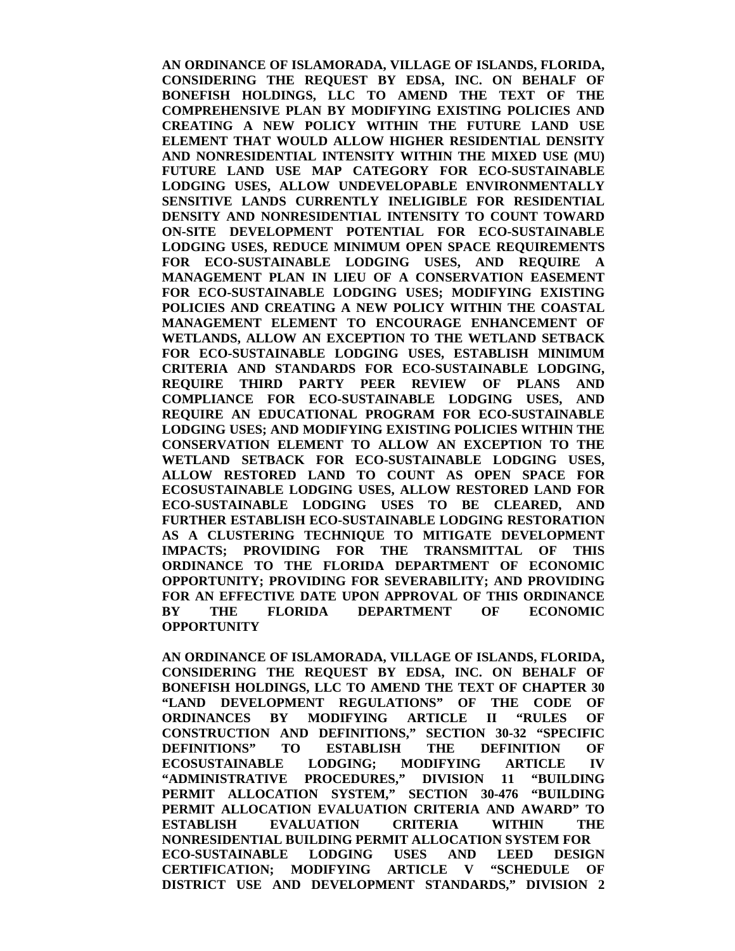**AN ORDINANCE OF ISLAMORADA, VILLAGE OF ISLANDS, FLORIDA, CONSIDERING THE REQUEST BY EDSA, INC. ON BEHALF OF BONEFISH HOLDINGS, LLC TO AMEND THE TEXT OF THE COMPREHENSIVE PLAN BY MODIFYING EXISTING POLICIES AND CREATING A NEW POLICY WITHIN THE FUTURE LAND USE ELEMENT THAT WOULD ALLOW HIGHER RESIDENTIAL DENSITY AND NONRESIDENTIAL INTENSITY WITHIN THE MIXED USE (MU) FUTURE LAND USE MAP CATEGORY FOR ECO-SUSTAINABLE LODGING USES, ALLOW UNDEVELOPABLE ENVIRONMENTALLY SENSITIVE LANDS CURRENTLY INELIGIBLE FOR RESIDENTIAL DENSITY AND NONRESIDENTIAL INTENSITY TO COUNT TOWARD ON-SITE DEVELOPMENT POTENTIAL FOR ECO-SUSTAINABLE LODGING USES, REDUCE MINIMUM OPEN SPACE REQUIREMENTS FOR ECO-SUSTAINABLE LODGING USES, AND REQUIRE A MANAGEMENT PLAN IN LIEU OF A CONSERVATION EASEMENT FOR ECO-SUSTAINABLE LODGING USES; MODIFYING EXISTING POLICIES AND CREATING A NEW POLICY WITHIN THE COASTAL MANAGEMENT ELEMENT TO ENCOURAGE ENHANCEMENT OF WETLANDS, ALLOW AN EXCEPTION TO THE WETLAND SETBACK FOR ECO-SUSTAINABLE LODGING USES, ESTABLISH MINIMUM CRITERIA AND STANDARDS FOR ECO-SUSTAINABLE LODGING, REQUIRE THIRD PARTY PEER REVIEW OF PLANS AND COMPLIANCE FOR ECO-SUSTAINABLE LODGING USES, AND REQUIRE AN EDUCATIONAL PROGRAM FOR ECO-SUSTAINABLE LODGING USES; AND MODIFYING EXISTING POLICIES WITHIN THE CONSERVATION ELEMENT TO ALLOW AN EXCEPTION TO THE WETLAND SETBACK FOR ECO-SUSTAINABLE LODGING USES, ALLOW RESTORED LAND TO COUNT AS OPEN SPACE FOR ECOSUSTAINABLE LODGING USES, ALLOW RESTORED LAND FOR ECO-SUSTAINABLE LODGING USES TO BE CLEARED, AND FURTHER ESTABLISH ECO-SUSTAINABLE LODGING RESTORATION AS A CLUSTERING TECHNIQUE TO MITIGATE DEVELOPMENT IMPACTS; PROVIDING FOR THE TRANSMITTAL OF THIS ORDINANCE TO THE FLORIDA DEPARTMENT OF ECONOMIC OPPORTUNITY; PROVIDING FOR SEVERABILITY; AND PROVIDING FOR AN EFFECTIVE DATE UPON APPROVAL OF THIS ORDINANCE BY THE FLORIDA DEPARTMENT OF ECONOMIC OPPORTUNITY** 

**AN ORDINANCE OF ISLAMORADA, VILLAGE OF ISLANDS, FLORIDA, CONSIDERING THE REQUEST BY EDSA, INC. ON BEHALF OF BONEFISH HOLDINGS, LLC TO AMEND THE TEXT OF CHAPTER 30 "LAND DEVELOPMENT REGULATIONS" OF THE CODE OF ORDINANCES BY MODIFYING ARTICLE II "RULES OF CONSTRUCTION AND DEFINITIONS," SECTION 30-32 "SPECIFIC DEFINITIONS" TO ESTABLISH THE DEFINITION OF ECOSUSTAINABLE LODGING; MODIFYING ARTICLE IV "ADMINISTRATIVE PROCEDURES," DIVISION 11 "BUILDING PERMIT ALLOCATION SYSTEM," SECTION 30-476 "BUILDING PERMIT ALLOCATION EVALUATION CRITERIA AND AWARD" TO ESTABLISH EVALUATION CRITERIA WITHIN THE NONRESIDENTIAL BUILDING PERMIT ALLOCATION SYSTEM FOR ECO-SUSTAINABLE LODGING USES AND LEED DESIGN CERTIFICATION; MODIFYING ARTICLE V "SCHEDULE OF DISTRICT USE AND DEVELOPMENT STANDARDS," DIVISION 2**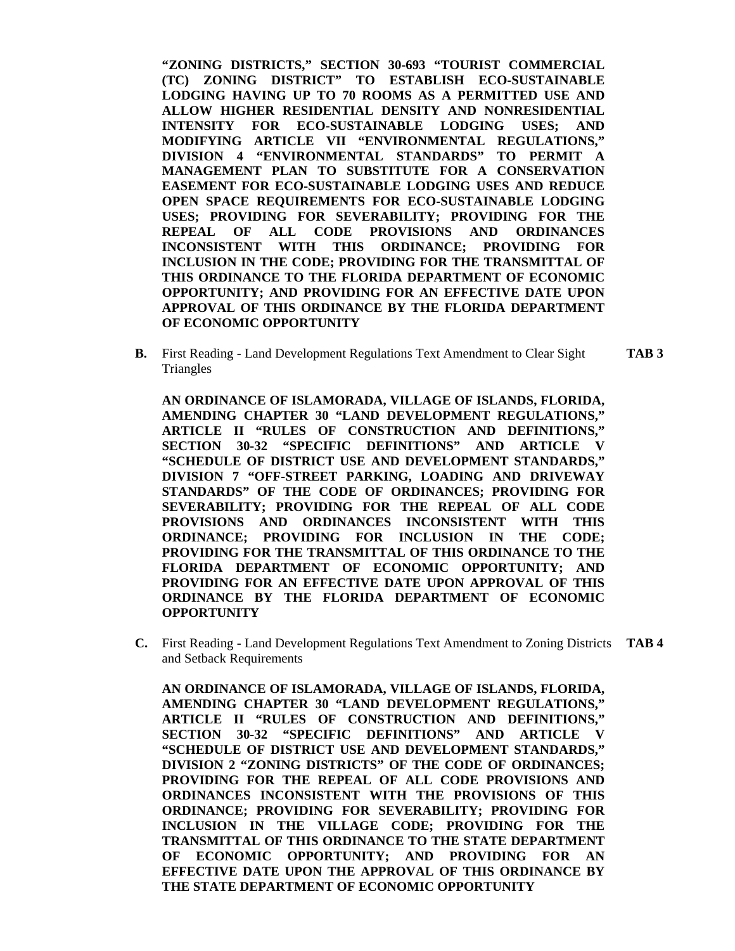**"ZONING DISTRICTS," SECTION 30-693 "TOURIST COMMERCIAL (TC) ZONING DISTRICT" TO ESTABLISH ECO-SUSTAINABLE LODGING HAVING UP TO 70 ROOMS AS A PERMITTED USE AND ALLOW HIGHER RESIDENTIAL DENSITY AND NONRESIDENTIAL INTENSITY FOR ECO-SUSTAINABLE LODGING USES; AND MODIFYING ARTICLE VII "ENVIRONMENTAL REGULATIONS," DIVISION 4 "ENVIRONMENTAL STANDARDS" TO PERMIT A MANAGEMENT PLAN TO SUBSTITUTE FOR A CONSERVATION EASEMENT FOR ECO-SUSTAINABLE LODGING USES AND REDUCE OPEN SPACE REQUIREMENTS FOR ECO-SUSTAINABLE LODGING USES; PROVIDING FOR SEVERABILITY; PROVIDING FOR THE REPEAL OF ALL CODE PROVISIONS AND ORDINANCES INCONSISTENT WITH THIS ORDINANCE; PROVIDING FOR INCLUSION IN THE CODE; PROVIDING FOR THE TRANSMITTAL OF THIS ORDINANCE TO THE FLORIDA DEPARTMENT OF ECONOMIC OPPORTUNITY; AND PROVIDING FOR AN EFFECTIVE DATE UPON APPROVAL OF THIS ORDINANCE BY THE FLORIDA DEPARTMENT OF ECONOMIC OPPORTUNITY** 

**B.** First Reading - Land Development Regulations Text Amendment to Clear Sight **TAB 3 Triangles** 

**AN ORDINANCE OF ISLAMORADA, VILLAGE OF ISLANDS, FLORIDA, AMENDING CHAPTER 30 "LAND DEVELOPMENT REGULATIONS," ARTICLE II "RULES OF CONSTRUCTION AND DEFINITIONS," SECTION 30-32 "SPECIFIC DEFINITIONS" AND ARTICLE V "SCHEDULE OF DISTRICT USE AND DEVELOPMENT STANDARDS," DIVISION 7 "OFF-STREET PARKING, LOADING AND DRIVEWAY STANDARDS" OF THE CODE OF ORDINANCES; PROVIDING FOR SEVERABILITY; PROVIDING FOR THE REPEAL OF ALL CODE PROVISIONS AND ORDINANCES INCONSISTENT WITH THIS ORDINANCE; PROVIDING FOR INCLUSION IN THE CODE; PROVIDING FOR THE TRANSMITTAL OF THIS ORDINANCE TO THE FLORIDA DEPARTMENT OF ECONOMIC OPPORTUNITY; AND PROVIDING FOR AN EFFECTIVE DATE UPON APPROVAL OF THIS ORDINANCE BY THE FLORIDA DEPARTMENT OF ECONOMIC OPPORTUNITY**

**C.** First Reading - Land Development Regulations Text Amendment to Zoning Districts **TAB 4** and Setback Requirements

**AN ORDINANCE OF ISLAMORADA, VILLAGE OF ISLANDS, FLORIDA, AMENDING CHAPTER 30 "LAND DEVELOPMENT REGULATIONS," ARTICLE II "RULES OF CONSTRUCTION AND DEFINITIONS," SECTION 30-32 "SPECIFIC DEFINITIONS" AND ARTICLE "SCHEDULE OF DISTRICT USE AND DEVELOPMENT STANDARDS," DIVISION 2 "ZONING DISTRICTS" OF THE CODE OF ORDINANCES; PROVIDING FOR THE REPEAL OF ALL CODE PROVISIONS AND ORDINANCES INCONSISTENT WITH THE PROVISIONS OF THIS ORDINANCE; PROVIDING FOR SEVERABILITY; PROVIDING FOR INCLUSION IN THE VILLAGE CODE; PROVIDING FOR THE TRANSMITTAL OF THIS ORDINANCE TO THE STATE DEPARTMENT OF ECONOMIC OPPORTUNITY; AND PROVIDING FOR AN EFFECTIVE DATE UPON THE APPROVAL OF THIS ORDINANCE BY THE STATE DEPARTMENT OF ECONOMIC OPPORTUNITY**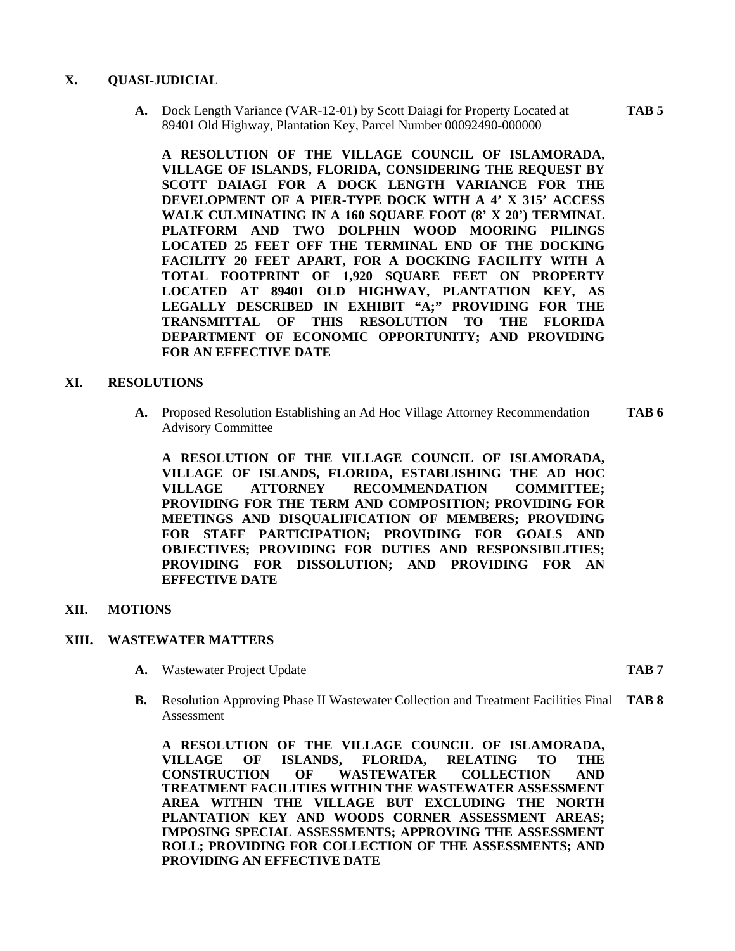#### **X. QUASI-JUDICIAL**

**A.** Dock Length Variance (VAR-12-01) by Scott Daiagi for Property Located at **TAB 5**  89401 Old Highway, Plantation Key, Parcel Number 00092490-000000

**A RESOLUTION OF THE VILLAGE COUNCIL OF ISLAMORADA, VILLAGE OF ISLANDS, FLORIDA, CONSIDERING THE REQUEST BY SCOTT DAIAGI FOR A DOCK LENGTH VARIANCE FOR THE DEVELOPMENT OF A PIER-TYPE DOCK WITH A 4' X 315' ACCESS WALK CULMINATING IN A 160 SQUARE FOOT (8' X 20') TERMINAL PLATFORM AND TWO DOLPHIN WOOD MOORING PILINGS LOCATED 25 FEET OFF THE TERMINAL END OF THE DOCKING FACILITY 20 FEET APART, FOR A DOCKING FACILITY WITH A TOTAL FOOTPRINT OF 1,920 SQUARE FEET ON PROPERTY LOCATED AT 89401 OLD HIGHWAY, PLANTATION KEY, AS LEGALLY DESCRIBED IN EXHIBIT "A;" PROVIDING FOR THE TRANSMITTAL OF THIS RESOLUTION TO THE FLORIDA DEPARTMENT OF ECONOMIC OPPORTUNITY; AND PROVIDING FOR AN EFFECTIVE DATE** 

#### **XI. RESOLUTIONS**

**A.** Proposed Resolution Establishing an Ad Hoc Village Attorney Recommendation **TAB 6**  Advisory Committee

**A RESOLUTION OF THE VILLAGE COUNCIL OF ISLAMORADA, VILLAGE OF ISLANDS, FLORIDA, ESTABLISHING THE AD HOC VILLAGE ATTORNEY RECOMMENDATION COMMITTEE; PROVIDING FOR THE TERM AND COMPOSITION; PROVIDING FOR MEETINGS AND DISQUALIFICATION OF MEMBERS; PROVIDING FOR STAFF PARTICIPATION; PROVIDING FOR GOALS AND OBJECTIVES; PROVIDING FOR DUTIES AND RESPONSIBILITIES; PROVIDING FOR DISSOLUTION; AND PROVIDING FOR AN EFFECTIVE DATE** 

**XII. MOTIONS** 

#### **XIII. WASTEWATER MATTERS**

- **A.** Wastewater Project Update **TAB 7** 
	-
- **B.** Resolution Approving Phase II Wastewater Collection and Treatment Facilities Final **TAB 8** Assessment

**A RESOLUTION OF THE VILLAGE COUNCIL OF ISLAMORADA, VILLAGE OF ISLANDS, FLORIDA, RELATING TO THE CONSTRUCTION OF WASTEWATER COLLECTION AND TREATMENT FACILITIES WITHIN THE WASTEWATER ASSESSMENT AREA WITHIN THE VILLAGE BUT EXCLUDING THE NORTH PLANTATION KEY AND WOODS CORNER ASSESSMENT AREAS; IMPOSING SPECIAL ASSESSMENTS; APPROVING THE ASSESSMENT ROLL; PROVIDING FOR COLLECTION OF THE ASSESSMENTS; AND PROVIDING AN EFFECTIVE DATE**